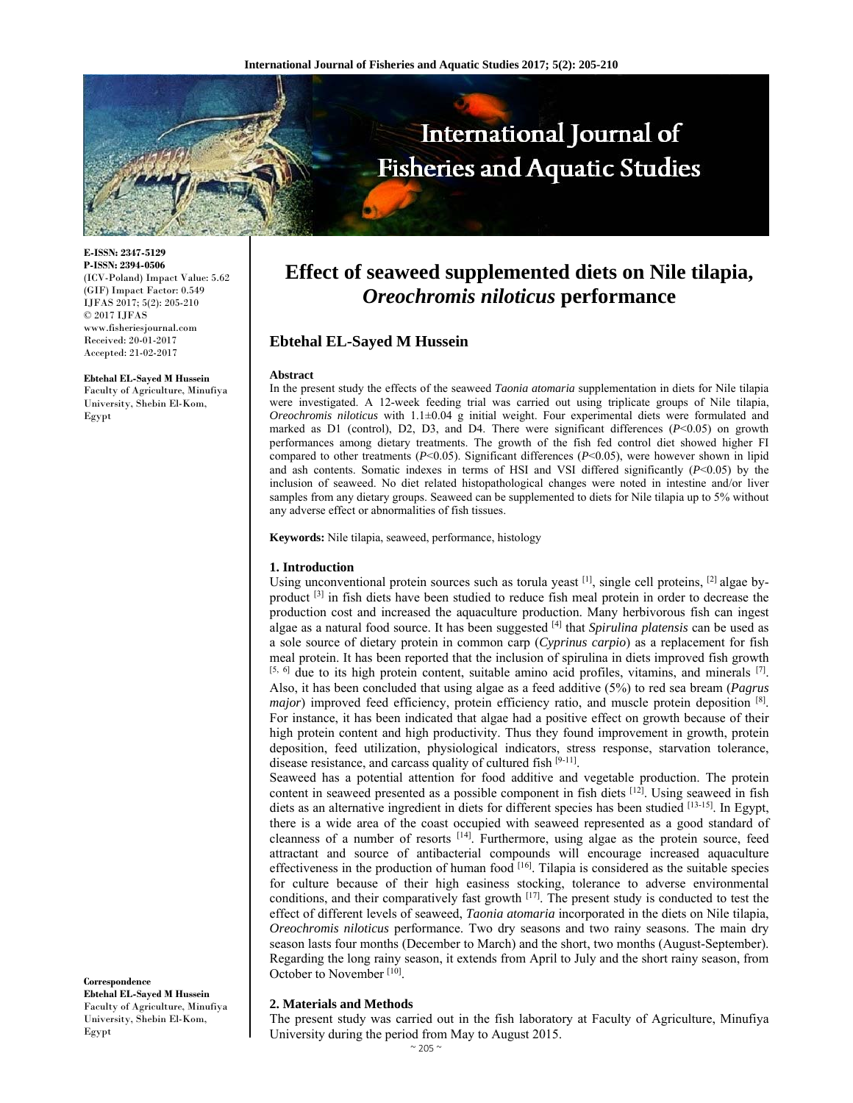

**E-ISSN: 2347-5129 P-ISSN: 2394-0506**  (ICV-Poland) Impact Value: 5.62 (GIF) Impact Factor: 0.549 IJFAS 2017; 5(2): 205-210  $\odot$  2017 IJFAS www.fisheriesjournal.com Received: 20-01-2017 Accepted: 21-02-2017

**Ebtehal EL-Sayed M Hussein**  Faculty of Agriculture, Minufiya University, Shebin El-Kom, Egypt

# **Effect of seaweed supplemented diets on Nile tilapia,**  *Oreochromis niloticus* **performance**

# **Ebtehal EL-Sayed M Hussein**

#### **Abstract**

In the present study the effects of the seaweed *Taonia atomaria* supplementation in diets for Nile tilapia were investigated. A 12-week feeding trial was carried out using triplicate groups of Nile tilapia, *Oreochromis niloticus* with 1.1±0.04 g initial weight. Four experimental diets were formulated and marked as D1 (control), D2, D3, and D4. There were significant differences (*P*<0.05) on growth performances among dietary treatments. The growth of the fish fed control diet showed higher FI compared to other treatments (*P*<0.05). Significant differences (*P*<0.05), were however shown in lipid and ash contents. Somatic indexes in terms of HSI and VSI differed significantly  $(P<0.05)$  by the inclusion of seaweed. No diet related histopathological changes were noted in intestine and/or liver samples from any dietary groups. Seaweed can be supplemented to diets for Nile tilapia up to 5% without any adverse effect or abnormalities of fish tissues.

**Keywords:** Nile tilapia, seaweed, performance, histology

## **1. Introduction**

Using unconventional protein sources such as torula yeast [1], single cell proteins, [2] algae byproduct [3] in fish diets have been studied to reduce fish meal protein in order to decrease the production cost and increased the aquaculture production. Many herbivorous fish can ingest algae as a natural food source. It has been suggested [4] that *Spirulina platensis* can be used as a sole source of dietary protein in common carp (*Cyprinus carpio*) as a replacement for fish meal protein. It has been reported that the inclusion of spirulina in diets improved fish growth  $[5, 6]$  due to its high protein content, suitable amino acid profiles, vitamins, and minerals  $[7]$ . Also, it has been concluded that using algae as a feed additive (5%) to red sea bream (*Pagrus major*) improved feed efficiency, protein efficiency ratio, and muscle protein deposition [8]. For instance, it has been indicated that algae had a positive effect on growth because of their high protein content and high productivity. Thus they found improvement in growth, protein deposition, feed utilization, physiological indicators, stress response, starvation tolerance, disease resistance, and carcass quality of cultured fish [9-11].

Seaweed has a potential attention for food additive and vegetable production. The protein content in seaweed presented as a possible component in fish diets  $[12]$ . Using seaweed in fish diets as an alternative ingredient in diets for different species has been studied  $^{[13-15]}$ . In Egypt, there is a wide area of the coast occupied with seaweed represented as a good standard of cleanness of a number of resorts [14]. Furthermore, using algae as the protein source, feed attractant and source of antibacterial compounds will encourage increased aquaculture effectiveness in the production of human food [16]. Tilapia is considered as the suitable species for culture because of their high easiness stocking, tolerance to adverse environmental conditions, and their comparatively fast growth [17]. The present study is conducted to test the effect of different levels of seaweed, *Taonia atomaria* incorporated in the diets on Nile tilapia, *Oreochromis niloticus* performance. Two dry seasons and two rainy seasons. The main dry season lasts four months (December to March) and the short, two months (August-September). Regarding the long rainy season, it extends from April to July and the short rainy season, from October to November [10].

**Correspondence Ebtehal EL-Sayed M Hussein**  Faculty of Agriculture, Minufiya University, Shebin El-Kom, Egypt

#### **2. Materials and Methods**

The present study was carried out in the fish laboratory at Faculty of Agriculture, Minufiya University during the period from May to August 2015.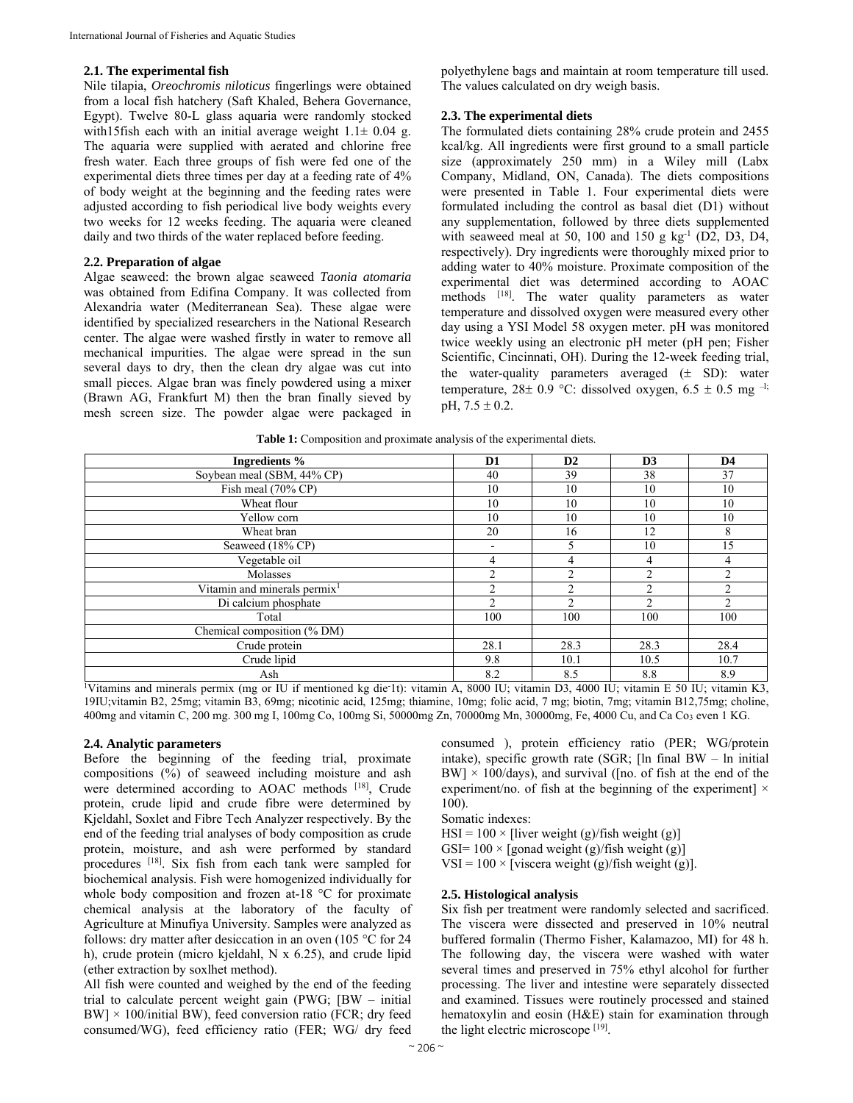## **2.1. The experimental fish**

Nile tilapia, *Oreochromis niloticus* fingerlings were obtained from a local fish hatchery (Saft Khaled, Behera Governance, Egypt). Twelve 80-L glass aquaria were randomly stocked with15fish each with an initial average weight  $1.1\pm 0.04$  g. The aquaria were supplied with aerated and chlorine free fresh water. Each three groups of fish were fed one of the experimental diets three times per day at a feeding rate of 4% of body weight at the beginning and the feeding rates were adjusted according to fish periodical live body weights every two weeks for 12 weeks feeding. The aquaria were cleaned daily and two thirds of the water replaced before feeding.

## **2.2. Preparation of algae**

Algae seaweed: the brown algae seaweed *Taonia atomaria* was obtained from Edifina Company. It was collected from Alexandria water (Mediterranean Sea). These algae were identified by specialized researchers in the National Research center. The algae were washed firstly in water to remove all mechanical impurities. The algae were spread in the sun several days to dry, then the clean dry algae was cut into small pieces. Algae bran was finely powdered using a mixer (Brawn AG, Frankfurt M) then the bran finally sieved by mesh screen size. The powder algae were packaged in polyethylene bags and maintain at room temperature till used. The values calculated on dry weigh basis.

#### **2.3. The experimental diets**

The formulated diets containing 28% crude protein and 2455 kcal/kg. All ingredients were first ground to a small particle size (approximately 250 mm) in a Wiley mill (Labx Company, Midland, ON, Canada). The diets compositions were presented in Table 1. Four experimental diets were formulated including the control as basal diet (D1) without any supplementation, followed by three diets supplemented with seaweed meal at 50, 100 and 150 g  $kg<sup>-1</sup>$  (D2, D3, D4, respectively). Dry ingredients were thoroughly mixed prior to adding water to 40% moisture. Proximate composition of the experimental diet was determined according to AOAC methods [18]. The water quality parameters as water temperature and dissolved oxygen were measured every other day using a YSI Model 58 oxygen meter. pH was monitored twice weekly using an electronic pH meter (pH pen; Fisher Scientific, Cincinnati, OH). During the 12-week feeding trial, the water-quality parameters averaged  $(\pm$  SD): water temperature, 28 $\pm$  0.9 °C: dissolved oxygen, 6.5  $\pm$  0.5 mg <sup>-1;</sup> pH,  $7.5 \pm 0.2$ .

| Ingredients %                                                                                                                         | D1                       | D2             | D <sub>3</sub> | D4             |
|---------------------------------------------------------------------------------------------------------------------------------------|--------------------------|----------------|----------------|----------------|
| Soybean meal (SBM, 44% CP)                                                                                                            | 40                       | 39             | 38             | 37             |
| Fish meal $(70\% \text{ CP})$                                                                                                         | 10                       | 10             | 10             | 10             |
| Wheat flour                                                                                                                           | 10                       | 10             | 10             | 10             |
| Yellow corn                                                                                                                           | 10                       | 10             | 10             | 10             |
| Wheat bran                                                                                                                            | 20                       | 16             | 12             | 8              |
| Seaweed (18% CP)                                                                                                                      | $\overline{\phantom{a}}$ |                | 10             | 15             |
| Vegetable oil                                                                                                                         | 4                        | 4              | 4              | 4              |
| Molasses                                                                                                                              | $\overline{c}$           | 2              | $\overline{c}$ | 2              |
| Vitamin and minerals permix $1$                                                                                                       | $\mathfrak{D}$           | 2              | C              | $\overline{2}$ |
| Di calcium phosphate                                                                                                                  | $\mathfrak{D}$           | $\mathfrak{D}$ | ↑              | $\mathfrak{D}$ |
| Total                                                                                                                                 | 100                      | 100            | 100            | 100            |
| Chemical composition (% DM)                                                                                                           |                          |                |                |                |
| Crude protein                                                                                                                         | 28.1                     | 28.3           | 28.3           | 28.4           |
| Crude lipid                                                                                                                           | 9.8                      | 10.1           | 10.5           | 10.7           |
| Ash                                                                                                                                   | 8.2                      | 8.5            | 8.8            | 8.9            |
| Vitamins and minerals permix (mg or IU if mentioned kg die 1t): vitamin A, 8000 IU; vitamin D3, 4000 IU; vitamin E 50 IU; vitamin K3, |                          |                |                |                |

**Table 1:** Composition and proximate analysis of the experimental diets.

19IU;vitamin B2, 25mg; vitamin B3, 69mg; nicotinic acid, 125mg; thiamine, 10mg; folic acid, 7 mg; biotin, 7mg; vitamin B12,75mg; choline, 400mg and vitamin C, 200 mg. 300 mg I, 100mg Co, 100mg Si, 50000mg Zn, 70000mg Mn, 30000mg, Fe, 4000 Cu, and Ca Co3 even 1 KG.

## **2.4. Analytic parameters**

Before the beginning of the feeding trial, proximate compositions (%) of seaweed including moisture and ash were determined according to AOAC methods [18], Crude protein, crude lipid and crude fibre were determined by Kjeldahl, Soxlet and Fibre Tech Analyzer respectively. By the end of the feeding trial analyses of body composition as crude protein, moisture, and ash were performed by standard procedures [18]. Six fish from each tank were sampled for biochemical analysis. Fish were homogenized individually for whole body composition and frozen at-18 °C for proximate chemical analysis at the laboratory of the faculty of Agriculture at Minufiya University. Samples were analyzed as follows: dry matter after desiccation in an oven (105 °C for 24 h), crude protein (micro kjeldahl, N x 6.25), and crude lipid (ether extraction by soxlhet method).

All fish were counted and weighed by the end of the feeding trial to calculate percent weight gain (PWG; [BW – initial  $BW \times 100$ /initial BW), feed conversion ratio (FCR; dry feed consumed/WG), feed efficiency ratio (FER; WG/ dry feed

consumed ), protein efficiency ratio (PER; WG/protein intake), specific growth rate (SGR; [ln final BW – ln initial  $BW$   $\times$  100/days), and survival ([no. of fish at the end of the experiment/no. of fish at the beginning of the experiment]  $\times$ 100).

Somatic indexes:

 $HSI = 100 \times$  [liver weight (g)/fish weight (g)]

GSI=  $100 \times$  [gonad weight (g)/fish weight (g)]

VSI =  $100 \times$  [viscera weight (g)/fish weight (g)].

#### **2.5. Histological analysis**

Six fish per treatment were randomly selected and sacrificed. The viscera were dissected and preserved in 10% neutral buffered formalin (Thermo Fisher, Kalamazoo, MI) for 48 h. The following day, the viscera were washed with water several times and preserved in 75% ethyl alcohol for further processing. The liver and intestine were separately dissected and examined. Tissues were routinely processed and stained hematoxylin and eosin (H&E) stain for examination through the light electric microscope [19].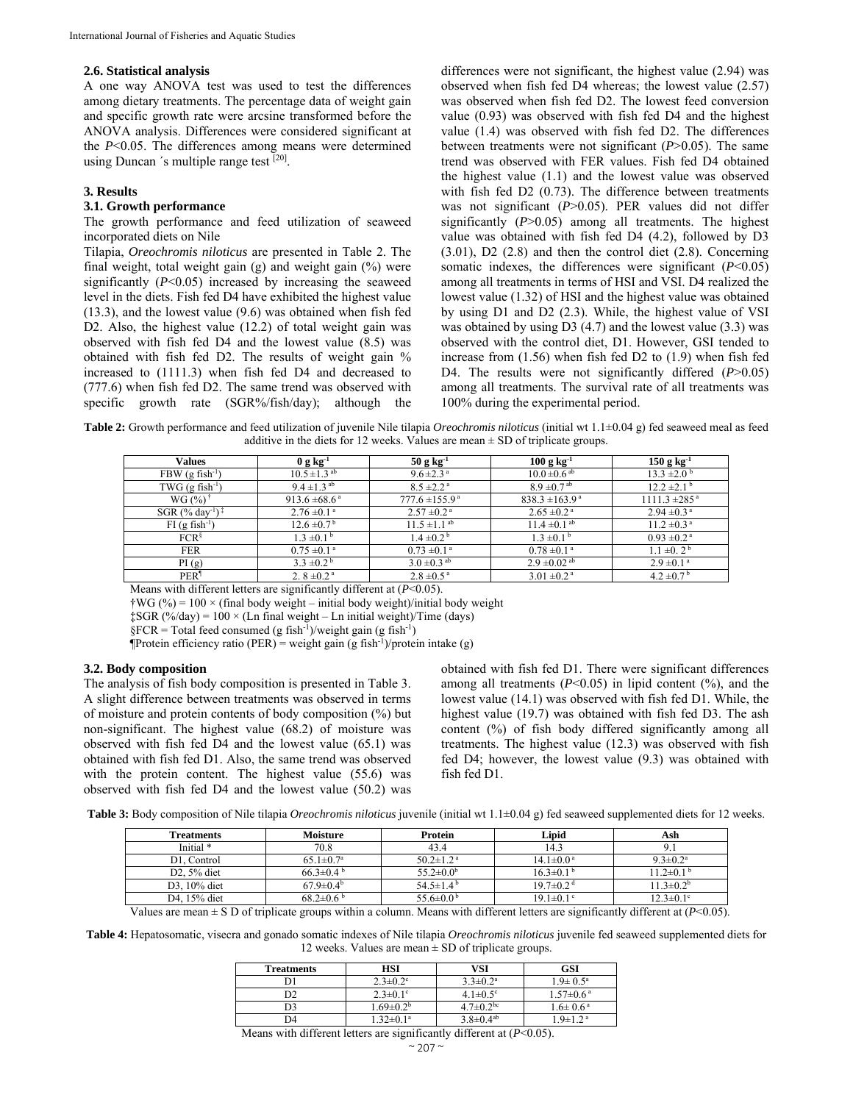#### **2.6. Statistical analysis**

A one way ANOVA test was used to test the differences among dietary treatments. The percentage data of weight gain and specific growth rate were arcsine transformed before the ANOVA analysis. Differences were considered significant at the *P*<0.05. The differences among means were determined using Duncan 's multiple range test [20].

## **3. Results**

## **3.1. Growth performance**

The growth performance and feed utilization of seaweed incorporated diets on Nile

Tilapia, *Oreochromis niloticus* are presented in Table 2. The final weight, total weight gain (g) and weight gain (%) were significantly (*P*<0.05) increased by increasing the seaweed level in the diets. Fish fed D4 have exhibited the highest value (13.3), and the lowest value (9.6) was obtained when fish fed D2. Also, the highest value (12.2) of total weight gain was observed with fish fed D4 and the lowest value (8.5) was obtained with fish fed D2. The results of weight gain % increased to (1111.3) when fish fed D4 and decreased to (777.6) when fish fed D2. The same trend was observed with specific growth rate (SGR%/fish/day); although the differences were not significant, the highest value (2.94) was observed when fish fed D4 whereas; the lowest value (2.57) was observed when fish fed D2. The lowest feed conversion value (0.93) was observed with fish fed D4 and the highest value (1.4) was observed with fish fed D2. The differences between treatments were not significant (*P*>0.05). The same trend was observed with FER values. Fish fed D4 obtained the highest value (1.1) and the lowest value was observed with fish fed D2 (0.73). The difference between treatments was not significant (*P*>0.05). PER values did not differ significantly (*P*>0.05) among all treatments. The highest value was obtained with fish fed D4 (4.2), followed by D3 (3.01), D2 (2.8) and then the control diet (2.8). Concerning somatic indexes, the differences were significant (*P*<0.05) among all treatments in terms of HSI and VSI. D4 realized the lowest value (1.32) of HSI and the highest value was obtained by using D1 and D2 (2.3). While, the highest value of VSI was obtained by using D3 (4.7) and the lowest value (3.3) was observed with the control diet, D1. However, GSI tended to increase from (1.56) when fish fed D2 to (1.9) when fish fed D4. The results were not significantly differed (*P*>0.05) among all treatments. The survival rate of all treatments was 100% during the experimental period.

**Table 2:** Growth performance and feed utilization of juvenile Nile tilapia *Oreochromis niloticus* (initial wt 1.1±0.04 g) fed seaweed meal as feed additive in the diets for 12 weeks. Values are mean  $\pm$  SD of triplicate groups.

| Values                                                           | $0 g kg-1$                    | $50 g kg-1$                  | $100 g kg^{-1}$              | $150 g kg-1$                  |
|------------------------------------------------------------------|-------------------------------|------------------------------|------------------------------|-------------------------------|
| $FBW$ (g fish <sup>-1</sup> )                                    | $10.5 \pm 1.3$ <sup>ab</sup>  | $9.6 \pm 2.3$ <sup>a</sup>   | $10.0 \pm 0.6$ <sup>ab</sup> | $13.3 \pm 2.0^{\circ}$        |
| $TWG$ (g fish <sup>-1</sup> )                                    | $9.4 \pm 1.3$ <sup>ab</sup>   | $8.5 \pm 2.2$ <sup>a</sup>   | $8.9 \pm 0.7$ <sup>ab</sup>  | $12.2 \pm 2.1$ <sup>b</sup>   |
| $WG(%)^{\dagger}$                                                | 913.6 $\pm$ 68.6 <sup>a</sup> | $777.6 \pm 155.9^{\text{a}}$ | $838.3 \pm 163.9^{\circ}$    | $1111.3 \pm 285$ <sup>a</sup> |
| $SGR$ (% day <sup>-1</sup> ) <sup><math>\frac{3}{4}</math></sup> | $2.76 \pm 0.1^{\text{a}}$     | $2.57 \pm 0.2$ <sup>a</sup>  | $2.65 \pm 0.2$ <sup>a</sup>  | $2.94 \pm 0.3^{\text{a}}$     |
| $FI$ (g fish <sup>-1</sup> )                                     | $12.6 \pm 0.7^{\mathrm{b}}$   | $11.5 \pm 1.1$ <sup>ab</sup> | $11.4 \pm 0.1$ <sup>ab</sup> | $11.2 \pm 0.3$ <sup>a</sup>   |
| FCR <sup>§</sup>                                                 | $1.3 \pm 0.1^{\circ}$         | $1.4 \pm 0.2^{\circ}$        | $1.3 \pm 0.1^{\circ}$        | $0.93 \pm 0.2$ <sup>a</sup>   |
| <b>FER</b>                                                       | $0.75 \pm 0.1^{\circ}$        | $0.73 \pm 0.1^{\circ}$       | $0.78 \pm 0.1$ <sup>a</sup>  | $1.1 \pm 0.2^{\mathrm{b}}$    |
| PI(g)                                                            | $3.3 \pm 0.2^{\circ}$         | $3.0 \pm 0.3$ <sup>ab</sup>  | $2.9 \pm 0.02$ <sup>ab</sup> | $2.9 \pm 0.1$ <sup>a</sup>    |
| PER <sup>1</sup>                                                 | 2. $8 \pm 0.2$ <sup>a</sup>   | $2.8 \pm 0.5^{\text{a}}$     | $3.01 \pm 0.2$ <sup>a</sup>  | $4.2 \pm 0.7^{\mathrm{b}}$    |

Means with different letters are significantly different at (*P*<0.05).

 $\frac{1}{4}WG$  (%) = 100 × (final body weight – initial body weight)/initial body weight

 $\frac{1}{2}$ SGR (%/day) = 100 × (Ln final weight – Ln initial weight)/Time (days)

 $\S$ FCR = Total feed consumed (g fish<sup>-1</sup>)/weight gain (g fish<sup>-1</sup>)

Therefore  $f(\text{Per}^{\text{per}}) = \text{weight gain} (g \text{ fish}^{-1})/\text{protein intake} (g)$ 

#### **3.2. Body composition**

The analysis of fish body composition is presented in Table 3. A slight difference between treatments was observed in terms of moisture and protein contents of body composition (%) but non-significant. The highest value (68.2) of moisture was observed with fish fed D4 and the lowest value (65.1) was obtained with fish fed D1. Also, the same trend was observed with the protein content. The highest value (55.6) was observed with fish fed D4 and the lowest value (50.2) was

obtained with fish fed D1. There were significant differences among all treatments  $(P<0.05)$  in lipid content  $(\%)$ , and the lowest value (14.1) was observed with fish fed D1. While, the highest value (19.7) was obtained with fish fed D3. The ash content (%) of fish body differed significantly among all treatments. The highest value (12.3) was observed with fish fed D4; however, the lowest value (9.3) was obtained with fish fed D1.

**Table 3:** Body composition of Nile tilapia *Oreochromis niloticus* juvenile (initial wt 1.1±0.04 g) fed seaweed supplemented diets for 12 weeks.

| Treatments   | <b>Moisture</b>             | Protein                     | Lipid                       | Ash                         |
|--------------|-----------------------------|-----------------------------|-----------------------------|-----------------------------|
| Initial *    | 70.8                        | 43.4                        | 14.3                        | 9. I                        |
| D1. Control  | $65.1 \pm 0.7^{\rm a}$      | $50.2 \pm 1.2$ <sup>a</sup> | $14.1 \pm 0.0^{\text{ a}}$  | $9.3 \pm 0.2^{\text{a}}$    |
| $D2.5%$ diet | $66.3 \pm 0.4$              | $55.2 \pm 0.0^{\rm b}$      | $16.3 \pm 0.1^{\mathrm{b}}$ | $11.2 \pm 0.1^{\mathrm{b}}$ |
| D3. 10% diet | $67.9 \pm 0.4^{\circ}$      | 54.5 $\pm$ 1.4 <sup>b</sup> | $19.7 \pm 0.2$ <sup>d</sup> | $11.3 \pm 0.2^b$            |
| D4. 15% diet | $68.2 \pm 0.6$ <sup>b</sup> | $55.6 \pm 0.0^{\mathrm{b}}$ | $19.1 \pm 0.1$ c            | $12.3 \pm 0.1$ °            |

Values are mean ± S D of triplicate groups within a column. Means with different letters are significantly different at (*P*<0.05).

**Table 4:** Hepatosomatic, visecra and gonado somatic indexes of Nile tilapia *Oreochromis niloticus* juvenile fed seaweed supplemented diets for 12 weeks. Values are mean  $\pm$  SD of triplicate groups.

| <b>Treatments</b> | HSI              | VSI                        | GSI                        |
|-------------------|------------------|----------------------------|----------------------------|
|                   | $2.3 \pm 0.2$ °  | $3.3 \pm 0.2^a$            | $1.9 \pm 0.5^{\circ}$      |
| D2                | $2.3 \pm 0.1$ °  | $4.1 \pm 0.5$ <sup>c</sup> | $1.57 \pm 0.6^{\text{ a}}$ |
| D3                | $1.69 \pm 0.2^b$ | $4.7 \pm 0.2^{\rm bc}$     | $1.6 \pm 0.6^{\text{ a}}$  |
| D4                | $1.32 \pm 0.1^a$ | $3.8 \pm 0.4^{ab}$         | $1.9 \pm 1.2$ <sup>a</sup> |

Means with different letters are significantly different at (*P*<0.05).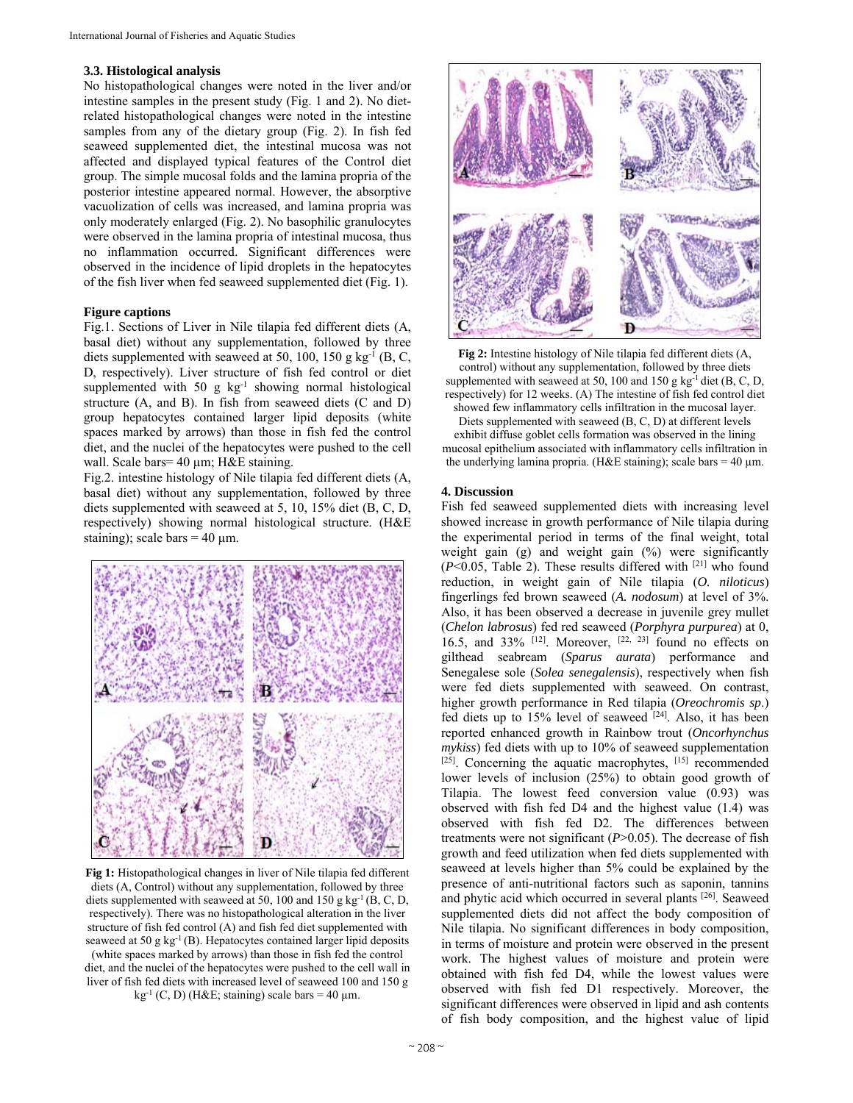#### **3.3. Histological analysis**

No histopathological changes were noted in the liver and/or intestine samples in the present study (Fig. 1 and 2). No dietrelated histopathological changes were noted in the intestine samples from any of the dietary group (Fig. 2). In fish fed seaweed supplemented diet, the intestinal mucosa was not affected and displayed typical features of the Control diet group. The simple mucosal folds and the lamina propria of the posterior intestine appeared normal. However, the absorptive vacuolization of cells was increased, and lamina propria was only moderately enlarged (Fig. 2). No basophilic granulocytes were observed in the lamina propria of intestinal mucosa, thus no inflammation occurred. Significant differences were observed in the incidence of lipid droplets in the hepatocytes of the fish liver when fed seaweed supplemented diet (Fig. 1).

## **Figure captions**

Fig.1. Sections of Liver in Nile tilapia fed different diets (A, basal diet) without any supplementation, followed by three diets supplemented with seaweed at 50, 100, 150 g kg<sup>-1</sup> (B, C, D, respectively). Liver structure of fish fed control or diet supplemented with 50 g  $kg^{-1}$  showing normal histological structure (A, and B). In fish from seaweed diets (C and D) group hepatocytes contained larger lipid deposits (white spaces marked by arrows) than those in fish fed the control diet, and the nuclei of the hepatocytes were pushed to the cell wall. Scale bars= 40 µm; H&E staining.

Fig.2. intestine histology of Nile tilapia fed different diets (A, basal diet) without any supplementation, followed by three diets supplemented with seaweed at 5, 10, 15% diet (B, C, D, respectively) showing normal histological structure. (H&E staining); scale bars  $= 40 \mu m$ .



**Fig 1:** Histopathological changes in liver of Nile tilapia fed different diets (A, Control) without any supplementation, followed by three diets supplemented with seaweed at 50, 100 and 150 g kg<sup>-1</sup> (B, C, D, respectively). There was no histopathological alteration in the liver structure of fish fed control (A) and fish fed diet supplemented with seaweed at 50 g kg<sup>-1</sup> (B). Hepatocytes contained larger lipid deposits (white spaces marked by arrows) than those in fish fed the control diet, and the nuclei of the hepatocytes were pushed to the cell wall in liver of fish fed diets with increased level of seaweed 100 and 150 g kg<sup>-1</sup> (C, D) (H&E; staining) scale bars = 40  $\mu$ m.



**Fig 2:** Intestine histology of Nile tilapia fed different diets (A, control) without any supplementation, followed by three diets supplemented with seaweed at 50, 100 and 150 g  $kg^{-1}$  diet (B, C, D, respectively) for 12 weeks. (A) The intestine of fish fed control diet showed few inflammatory cells infiltration in the mucosal layer. Diets supplemented with seaweed (B, C, D) at different levels exhibit diffuse goblet cells formation was observed in the lining mucosal epithelium associated with inflammatory cells infiltration in the underlying lamina propria. (H&E staining); scale bars = 40  $\mu$ m.

#### **4. Discussion**

Fish fed seaweed supplemented diets with increasing level showed increase in growth performance of Nile tilapia during the experimental period in terms of the final weight, total weight gain (g) and weight gain (%) were significantly (*P*<0.05, Table 2). These results differed with [21] who found reduction, in weight gain of Nile tilapia (*O. niloticus*) fingerlings fed brown seaweed (*A. nodosum*) at level of 3%. Also, it has been observed a decrease in juvenile grey mullet (*Chelon labrosus*) fed red seaweed (*Porphyra purpurea*) at 0, 16.5, and 33%  $[12]$ . Moreover,  $[22, 23]$  found no effects on gilthead seabream (*Sparus aurata*) performance and Senegalese sole (*Solea senegalensis*), respectively when fish were fed diets supplemented with seaweed. On contrast, higher growth performance in Red tilapia (*Oreochromis sp*.) fed diets up to 15% level of seaweed  $[24]$ . Also, it has been reported enhanced growth in Rainbow trout (*Oncorhynchus mykiss*) fed diets with up to 10% of seaweed supplementation  $[25]$ . Concerning the aquatic macrophytes,  $[15]$  recommended lower levels of inclusion (25%) to obtain good growth of Tilapia. The lowest feed conversion value (0.93) was observed with fish fed D4 and the highest value (1.4) was observed with fish fed D2. The differences between treatments were not significant (*P*>0.05). The decrease of fish growth and feed utilization when fed diets supplemented with seaweed at levels higher than 5% could be explained by the presence of anti-nutritional factors such as saponin, tannins and phytic acid which occurred in several plants [26]. Seaweed supplemented diets did not affect the body composition of Nile tilapia. No significant differences in body composition, in terms of moisture and protein were observed in the present work. The highest values of moisture and protein were obtained with fish fed D4, while the lowest values were observed with fish fed D1 respectively. Moreover, the significant differences were observed in lipid and ash contents of fish body composition, and the highest value of lipid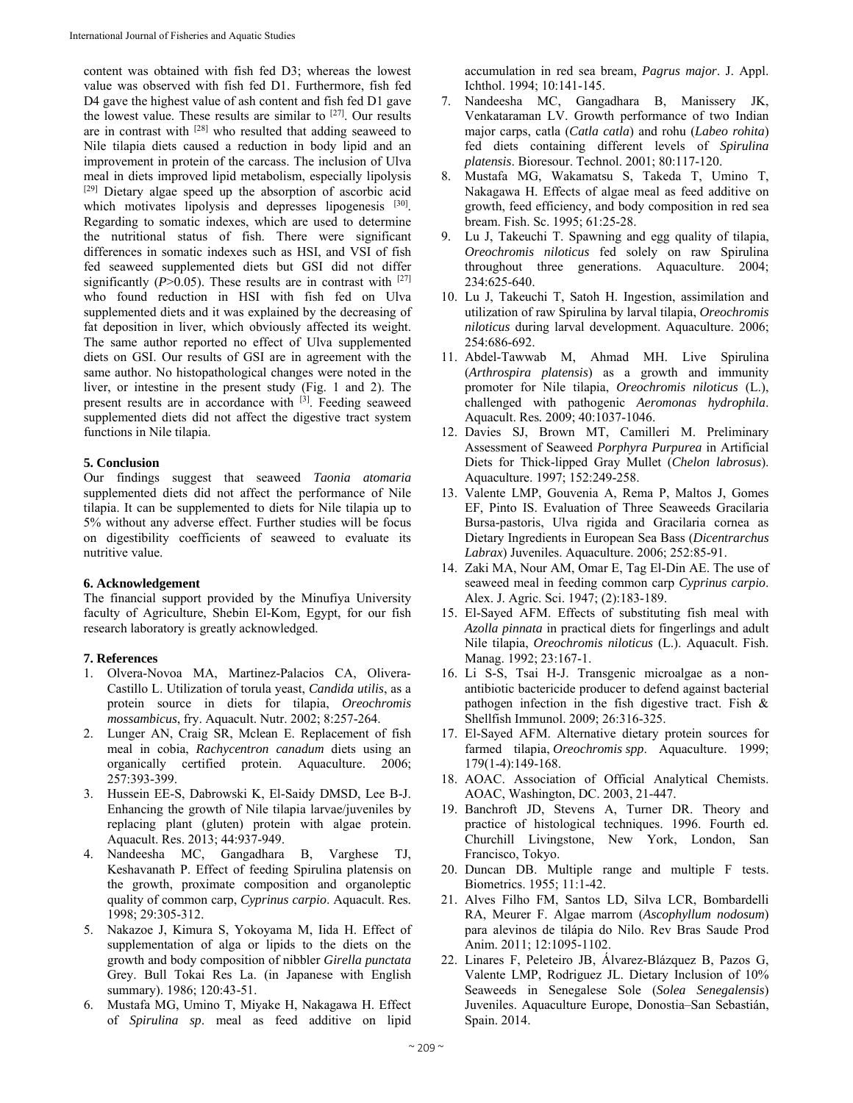content was obtained with fish fed D3; whereas the lowest value was observed with fish fed D1. Furthermore, fish fed D4 gave the highest value of ash content and fish fed D1 gave the lowest value. These results are similar to [27]. Our results are in contrast with [28] who resulted that adding seaweed to Nile tilapia diets caused a reduction in body lipid and an improvement in protein of the carcass. The inclusion of Ulva meal in diets improved lipid metabolism, especially lipolysis [29] Dietary algae speed up the absorption of ascorbic acid which motivates lipolysis and depresses lipogenesis [30]. Regarding to somatic indexes, which are used to determine the nutritional status of fish. There were significant differences in somatic indexes such as HSI, and VSI of fish fed seaweed supplemented diets but GSI did not differ significantly  $(P>0.05)$ . These results are in contrast with  $[27]$ who found reduction in HSI with fish fed on Ulva supplemented diets and it was explained by the decreasing of fat deposition in liver, which obviously affected its weight. The same author reported no effect of Ulva supplemented diets on GSI. Our results of GSI are in agreement with the same author. No histopathological changes were noted in the liver, or intestine in the present study (Fig. 1 and 2). The present results are in accordance with [3]. Feeding seaweed supplemented diets did not affect the digestive tract system functions in Nile tilapia.

## **5. Conclusion**

Our findings suggest that seaweed *Taonia atomaria* supplemented diets did not affect the performance of Nile tilapia. It can be supplemented to diets for Nile tilapia up to 5% without any adverse effect. Further studies will be focus on digestibility coefficients of seaweed to evaluate its nutritive value.

#### **6. Acknowledgement**

The financial support provided by the Minufiya University faculty of Agriculture, Shebin El-Kom, Egypt, for our fish research laboratory is greatly acknowledged.

## **7. References**

- 1. Olvera-Novoa MA, Martinez-Palacios CA, Olivera-Castillo L. Utilization of torula yeast, *Candida utilis*, as a protein source in diets for tilapia, *Oreochromis mossambicus*, fry. Aquacult. Nutr. 2002; 8:257-264.
- 2. Lunger AN, Craig SR, Mclean E. Replacement of fish meal in cobia, *Rachycentron canadum* diets using an organically certified protein. Aquaculture. 2006; 257:393-399.
- 3. Hussein EE-S, Dabrowski K, El-Saidy DMSD, Lee B-J. Enhancing the growth of Nile tilapia larvae/juveniles by replacing plant (gluten) protein with algae protein. Aquacult. Res. 2013; 44:937-949.
- 4. Nandeesha MC, Gangadhara B, Varghese TJ, Keshavanath P. Effect of feeding Spirulina platensis on the growth, proximate composition and organoleptic quality of common carp, *Cyprinus carpio*. Aquacult. Res. 1998; 29:305-312.
- 5. Nakazoe J, Kimura S, Yokoyama M, Iida H. Effect of supplementation of alga or lipids to the diets on the growth and body composition of nibbler *Girella punctata* Grey. Bull Tokai Res La. (in Japanese with English summary). 1986; 120:43-51.
- 6. Mustafa MG, Umino T, Miyake H, Nakagawa H. Effect of *Spirulina sp*. meal as feed additive on lipid

accumulation in red sea bream, *Pagrus major*. J. Appl. Ichthol. 1994; 10:141-145.

- 7. Nandeesha MC, Gangadhara B, Manissery JK, Venkataraman LV. Growth performance of two Indian major carps, catla (*Catla catla*) and rohu (*Labeo rohita*) fed diets containing different levels of *Spirulina platensis*. Bioresour. Technol. 2001; 80:117-120.
- 8. Mustafa MG, Wakamatsu S, Takeda T, Umino T, Nakagawa H. Effects of algae meal as feed additive on growth, feed efficiency, and body composition in red sea bream. Fish. Sc. 1995; 61:25-28.
- 9. Lu J, Takeuchi T. Spawning and egg quality of tilapia, *Oreochromis niloticus* fed solely on raw Spirulina throughout three generations. Aquaculture. 2004; 234:625-640.
- 10. Lu J, Takeuchi T, Satoh H. Ingestion, assimilation and utilization of raw Spirulina by larval tilapia, *Oreochromis niloticus* during larval development. Aquaculture. 2006; 254:686-692.
- 11. Abdel-Tawwab M, Ahmad MH. Live Spirulina (*Arthrospira platensis*) as a growth and immunity promoter for Nile tilapia, *Oreochromis niloticus* (L.), challenged with pathogenic *Aeromonas hydrophila*. Aquacult. Res*.* 2009; 40:1037-1046.
- 12. Davies SJ, Brown MT, Camilleri M. Preliminary Assessment of Seaweed *Porphyra Purpurea* in Artificial Diets for Thick-lipped Gray Mullet (*Chelon labrosus*). Aquaculture. 1997; 152:249-258.
- 13. Valente LMP, Gouvenia A, Rema P, Maltos J, Gomes EF, Pinto IS. Evaluation of Three Seaweeds Gracilaria Bursa-pastoris, Ulva rigida and Gracilaria cornea as Dietary Ingredients in European Sea Bass (*Dicentrarchus Labrax*) Juveniles. Aquaculture. 2006; 252:85-91.
- 14. Zaki MA, Nour AM, Omar E, Tag El-Din AE. The use of seaweed meal in feeding common carp *Cyprinus carpio*. Alex. J. Agric. Sci. 1947; (2):183-189.
- 15. El-Sayed AFM. Effects of substituting fish meal with *Azolla pinnata* in practical diets for fingerlings and adult Nile tilapia, *Oreochromis niloticus* (L.). Aquacult. Fish. Manag. 1992; 23:167-1.
- 16. Li S-S, Tsai H-J. Transgenic microalgae as a nonantibiotic bactericide producer to defend against bacterial pathogen infection in the fish digestive tract. Fish & Shellfish Immunol. 2009; 26:316-325.
- 17. El-Sayed AFM. Alternative dietary protein sources for farmed tilapia, *Oreochromis spp*. Aquaculture. 1999; 179(1-4):149-168.
- 18. AOAC. Association of Official Analytical Chemists. AOAC, Washington, DC. 2003, 21-447.
- 19. Banchroft JD, Stevens A, Turner DR. Theory and practice of histological techniques. 1996. Fourth ed. Churchill Livingstone, New York, London, San Francisco, Tokyo.
- 20. Duncan DB. Multiple range and multiple F tests. Biometrics. 1955; 11:1-42.
- 21. Alves Filho FM, Santos LD, Silva LCR, Bombardelli RA, Meurer F. Algae marrom (*Ascophyllum nodosum*) para alevinos de tilápia do Nilo. Rev Bras Saude Prod Anim. 2011; 12:1095-1102.
- 22. Linares F, Peleteiro JB, Álvarez-Blázquez B, Pazos G, Valente LMP, Rodriguez JL. Dietary Inclusion of 10% Seaweeds in Senegalese Sole (*Solea Senegalensis*) Juveniles. Aquaculture Europe, Donostia–San Sebastián, Spain. 2014.